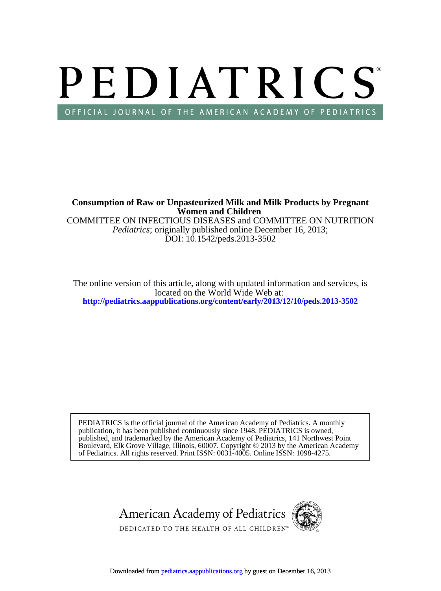# PEDIATRICS OFFICIAL JOURNAL OF THE AMERICAN ACADEMY OF PEDIATRICS

DOI: 10.1542/peds.2013-3502 *Pediatrics*; originally published online December 16, 2013; COMMITTEE ON INFECTIOUS DISEASES and COMMITTEE ON NUTRITION **Women and Children Consumption of Raw or Unpasteurized Milk and Milk Products by Pregnant**

**<http://pediatrics.aappublications.org/content/early/2013/12/10/peds.2013-3502>** located on the World Wide Web at: The online version of this article, along with updated information and services, is

of Pediatrics. All rights reserved. Print ISSN: 0031-4005. Online ISSN: 1098-4275. Boulevard, Elk Grove Village, Illinois, 60007. Copyright © 2013 by the American Academy published, and trademarked by the American Academy of Pediatrics, 141 Northwest Point publication, it has been published continuously since 1948. PEDIATRICS is owned, PEDIATRICS is the official journal of the American Academy of Pediatrics. A monthly

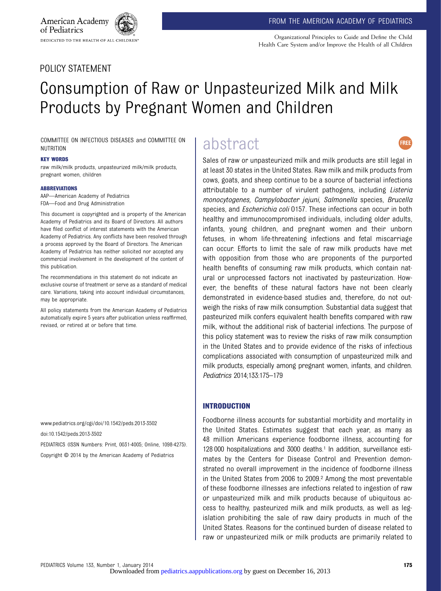Organizational Principles to Guide and Define the Child Health Care System and/or Improve the Health of all Children

#### POLICY STATEMENT

American Academy

DEDICATED TO THE HEALTH OF ALL CHILDREN"

of Pediatrics

## Consumption of Raw or Unpasteurized Milk and Milk Products by Pregnant Women and Children

COMMITTEE ON INFECTIOUS DISEASES and COMMITTEE ON NUTRITION

#### KEY WORDS

raw milk/milk products, unpasteurized milk/milk products, pregnant women, children

#### ABBREVIATIONS

AAP—American Academy of Pediatrics FDA—Food and Drug Administration

This document is copyrighted and is property of the American Academy of Pediatrics and its Board of Directors. All authors have filed conflict of interest statements with the American Academy of Pediatrics. Any conflicts have been resolved through a process approved by the Board of Directors. The American Academy of Pediatrics has neither solicited nor accepted any commercial involvement in the development of the content of this publication.

The recommendations in this statement do not indicate an exclusive course of treatment or serve as a standard of medical care. Variations, taking into account individual circumstances, may be appropriate.

All policy statements from the American Academy of Pediatrics automatically expire 5 years after publication unless reaffirmed, revised, or retired at or before that time.

www.pediatrics.org/cgi/doi/10.1542/peds.2013-3502 doi:10.1542/peds.2013-3502

PEDIATRICS (ISSN Numbers: Print, 0031-4005; Online, 1098-4275). Copyright © 2014 by the American Academy of Pediatrics

### abstract

Sales of raw or unpasteurized milk and milk products are still legal in at least 30 states in the United States. Raw milk and milk products from cows, goats, and sheep continue to be a source of bacterial infections attributable to a number of virulent pathogens, including *Listeria* monocytogenes, Campylobacter jejuni, Salmonella species, Brucella species, and *Escherichia coli* 0157. These infections can occur in both healthy and immunocompromised individuals, including older adults, infants, young children, and pregnant women and their unborn fetuses, in whom life-threatening infections and fetal miscarriage can occur. Efforts to limit the sale of raw milk products have met with opposition from those who are proponents of the purported health benefits of consuming raw milk products, which contain natural or unprocessed factors not inactivated by pasteurization. However, the benefits of these natural factors have not been clearly demonstrated in evidence-based studies and, therefore, do not outweigh the risks of raw milk consumption. Substantial data suggest that pasteurized milk confers equivalent health benefits compared with raw milk, without the additional risk of bacterial infections. The purpose of this policy statement was to review the risks of raw milk consumption in the United States and to provide evidence of the risks of infectious complications associated with consumption of unpasteurized milk and milk products, especially among pregnant women, infants, and children. Pediatrics 2014;133:175–179

#### **INTRODUCTION**

Foodborne illness accounts for substantial morbidity and mortality in the United States. Estimates suggest that each year, as many as 48 million Americans experience foodborne illness, accounting for 128 000 hospitalizations and 3000 deaths.<sup>1</sup> In addition, surveillance estimates by the Centers for Disease Control and Prevention demonstrated no overall improvement in the incidence of foodborne illness in the United States from 2006 to 2009.2 Among the most preventable of these foodborne illnesses are infections related to ingestion of raw or unpasteurized milk and milk products because of ubiquitous access to healthy, pasteurized milk and milk products, as well as legislation prohibiting the sale of raw dairy products in much of the United States. Reasons for the continued burden of disease related to raw or unpasteurized milk or milk products are primarily related to

**FREE**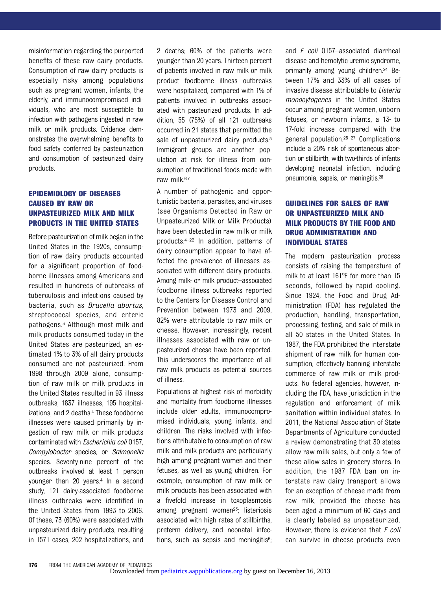misinformation regarding the purported benefits of these raw dairy products. Consumption of raw dairy products is especially risky among populations such as pregnant women, infants, the elderly, and immunocompromised individuals, who are most susceptible to infection with pathogens ingested in raw milk or milk products. Evidence demonstrates the overwhelming benefits to food safety conferred by pasteurization and consumption of pasteurized dairy products.

#### EPIDEMIOLOGY OF DISEASES CAUSED BY RAW OR UNPASTEURIZED MILK AND MILK PRODUCTS IN THE UNITED STATES

Before pasteurization of milk began in the United States in the 1920s, consumption of raw dairy products accounted for a significant proportion of foodborne illnesses among Americans and resulted in hundreds of outbreaks of tuberculosis and infections caused by bacteria, such as Brucella abortus, streptococcal species, and enteric pathogens.3 Although most milk and milk products consumed today in the United States are pasteurized, an estimated 1% to 3% of all dairy products consumed are not pasteurized. From 1998 through 2009 alone, consumption of raw milk or milk products in the United States resulted in 93 illness outbreaks, 1837 illnesses, 195 hospitalizations, and 2 deaths.<sup>4</sup> These foodborne illnesses were caused primarily by ingestion of raw milk or milk products contaminated with Escherichia coli O157, Campylobacter species, or Salmonella species. Seventy-nine percent of the outbreaks involved at least 1 person younger than 20 years.<sup>4</sup> In a second study, 121 dairy-associated foodborne illness outbreaks were identified in the United States from 1993 to 2006. Of these, 73 (60%) were associated with unpasteurized dairy products, resulting in 1571 cases, 202 hospitalizations, and

2 deaths; 60% of the patients were younger than 20 years. Thirteen percent of patients involved in raw milk or milk product foodborne illness outbreaks were hospitalized, compared with 1% of patients involved in outbreaks associated with pasteurized products. In addition, 55 (75%) of all 121 outbreaks occurred in 21 states that permitted the sale of unpasteurized dairy products.<sup>5</sup> Immigrant groups are another population at risk for illness from consumption of traditional foods made with raw milk.6,7

A number of pathogenic and opportunistic bacteria, parasites, and viruses (see Organisms Detected in Raw or Unpasteurized Milk or Milk Products) have been detected in raw milk or milk products.4–<sup>22</sup> In addition, patterns of dairy consumption appear to have affected the prevalence of illnesses associated with different dairy products. Among milk- or milk product–associated foodborne illness outbreaks reported to the Centers for Disease Control and Prevention between 1973 and 2009, 82% were attributable to raw milk or cheese. However, increasingly, recent illnesses associated with raw or unpasteurized cheese have been reported. This underscores the importance of all raw milk products as potential sources of illness.

Populations at highest risk of morbidity and mortality from foodborne illnesses include older adults, immunocompromised individuals, young infants, and children. The risks involved with infections attributable to consumption of raw milk and milk products are particularly high among pregnant women and their fetuses, as well as young children. For example, consumption of raw milk or milk products has been associated with a fivefold increase in toxoplasmosis among pregnant women<sup>23</sup>; listeriosis associated with high rates of stillbirths, preterm delivery, and neonatal infections, such as sep[sis and meningitis](http://pediatrics.aappublications.org/)<sup>6</sup>[;](http://pediatrics.aappublications.org/)

and E coli O157–associated diarrheal disease and hemolytic-uremic syndrome, primarily among young children.24 Between 17% and 33% of all cases of invasive disease attributable to Listeria monocytogenes in the United States occur among pregnant women, unborn fetuses, or newborn infants, a 13- to 17-fold increase compared with the general population.25–<sup>27</sup> Complications include a 20% risk of spontaneous abortion or stillbirth, with two-thirds of infants developing neonatal infection, including pneumonia, sepsis, or meningitis.28

#### GUIDELINES FOR SALES OF RAW OR UNPASTEURIZED MILK AND MILK PRODUCTS BY THE FOOD AND DRUG ADMINISTRATION AND INDIVIDUAL STATES

The modern pasteurization process consists of raising the temperature of milk to at least 161°F for more than 15 seconds, followed by rapid cooling. Since 1924, the Food and Drug Administration (FDA) has regulated the production, handling, transportation, processing, testing, and sale of milk in all 50 states in the United States. In 1987, the FDA prohibited the interstate shipment of raw milk for human consumption, effectively banning interstate commerce of raw milk or milk products. No federal agencies, however, including the FDA, have jurisdiction in the regulation and enforcement of milk sanitation within individual states. In 2011, the National Association of State Departments of Agriculture conducted a review demonstrating that 30 states allow raw milk sales, but only a few of these allow sales in grocery stores. In addition, the 1987 FDA ban on interstate raw dairy transport allows for an exception of cheese made from raw milk, provided the cheese has been aged a minimum of 60 days and is clearly labeled as unpasteurized. However, there is evidence that E coli can survive in cheese products even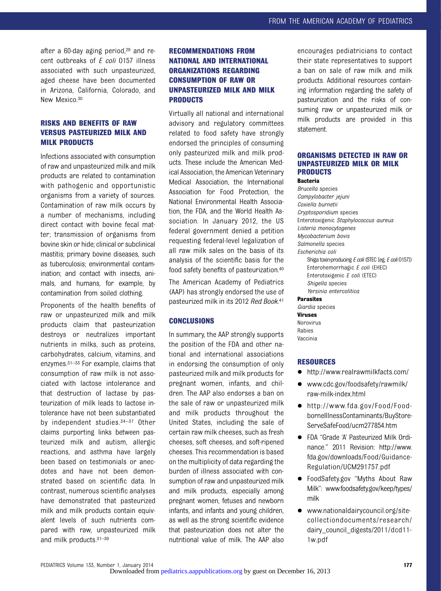after a 60-day aging period,<sup>29</sup> and recent outbreaks of E coli 0157 illness associated with such unpasteurized, aged cheese have been documented in Arizona, California, Colorado, and New Mexico.30

#### RISKS AND BENEFITS OF RAW VERSUS PASTEURIZED MILK AND MILK PRODUCTS

Infections associated with consumption of raw and unpasteurized milk and milk products are related to contamination with pathogenic and opportunistic organisms from a variety of sources. Contamination of raw milk occurs by a number of mechanisms, including direct contact with bovine fecal matter; transmission of organisms from bovine skin or hide; clinical or subclinical mastitis; primary bovine diseases, such as tuberculosis; environmental contamination; and contact with insects, animals, and humans, for example, by contamination from soiled clothing.

Proponents of the health benefits of raw or unpasteurized milk and milk products claim that pasteurization destroys or neutralizes important nutrients in milks, such as proteins, carbohydrates, calcium, vitamins, and enzymes.31–<sup>33</sup> For example, claims that consumption of raw milk is not associated with lactose intolerance and that destruction of lactase by pasteurization of milk leads to lactose intolerance have not been substantiated by independent studies.34–<sup>37</sup> Other claims purporting links between pasteurized milk and autism, allergic reactions, and asthma have largely been based on testimonials or anecdotes and have not been demonstrated based on scientific data. In contrast, numerous scientific analyses have demonstrated that pasteurized milk and milk products contain equivalent levels of such nutrients compared with raw, unpasteurized milk and milk products.31–<sup>39</sup>

#### RECOMMENDATIONS FROM NATIONAL AND INTERNATIONAL ORGANIZATIONS REGARDING CONSUMPTION OF RAW OR UNPASTEURIZED MILK AND MILK **PRODUCTS**

Virtually all national and international advisory and regulatory committees related to food safety have strongly endorsed the principles of consuming only pasteurized milk and milk products. These include the American Medical Association, the American Veterinary Medical Association, the International Association for Food Protection, the National Environmental Health Association, the FDA, and the World Health Association. In January 2012, the US federal government denied a petition requesting federal-level legalization of all raw milk sales on the basis of its analysis of the scientific basis for the food safety benefits of pasteurization.40 The American Academy of Pediatrics

(AAP) has strongly endorsed the use of pasteurized milk in its 2012 Red Book.<sup>41</sup>

#### CONCLUSIONS

In summary, the AAP strongly supports the position of the FDA and other national and international associations in endorsing the consumption of only pasteurized milk and milk products for pregnant women, infants, and children. The AAP also endorses a ban on the sale of raw or unpasteurized milk and milk products throughout the United States, including the sale of certain raw milk cheeses, such as fresh cheeses, soft cheeses, and soft-ripened cheeses. This recommendation is based on the multiplicity of data regarding the burden of illness associated with consumption of raw and unpasteurized milk and milk products, especially among pregnant women, fetuses and newborn infants, and infants and young children, as well as the strong scientific evidence that pasteurization does not alter the nutritional valu[e of milk. The AAP also](http://pediatrics.aappublications.org/)

encourages pediatricians to contact their state representatives to support a ban on sale of raw milk and milk products. Additional resources containing information regarding the safety of pasteurization and the risks of consuming raw or unpasteurized milk or milk products are provided in this statement.

#### ORGANISMS DETECTED IN RAW OR UNPASTEURIZED MILK OR MILK PRODUCTS

#### Bacteria

Brucella species Campylobacter jejuni Coxiella burnetii Cryptosporidium species Enterotoxigenic Staphylococcus aureus Listeria monocytogenes Mycobacterium bovis Salmonella species Escherichia coli Shiga toxin-producing E coli (STEC [eg, E coli 0157]) Enterohemorrhagic E coli (EHEC) Enterotoxigenic E coli (ETEC) Shigella species Yersinia entercolitica Parasites

Giardia species

Viruses Norovirus Rabies Vaccinia

#### RESOURCES

- <http://www.realrawmilkfacts.com/>
- [www.cdc.gov/foodsafety/rawmilk/](www.cdc.gov/foodsafety/rawmilk/raw-milk-index.html) [raw-milk-index.html](www.cdc.gov/foodsafety/rawmilk/raw-milk-index.html)
- [http://www.fda.gov/Food/Food](http://www.fda.gov/Food/FoodborneIllnessContaminants/BuyStoreServeSafeFood/ucm277854.htm)[borneIllnessContaminants/BuyStore-](http://www.fda.gov/Food/FoodborneIllnessContaminants/BuyStoreServeSafeFood/ucm277854.htm)[ServeSafeFood/ucm277854.htm](http://www.fda.gov/Food/FoodborneIllnessContaminants/BuyStoreServeSafeFood/ucm277854.htm)
- FDA "Grade 'A' Pasteurized Milk Ordinance." 2011 Revision: [http://www.](http://www.fda.gov/downloads/Food/GuidanceRegulation/UCM291757.pdf) [fda.gov/downloads/Food/Guidance-](http://www.fda.gov/downloads/Food/GuidanceRegulation/UCM291757.pdf)[Regulation/UCM291757.pdf](http://www.fda.gov/downloads/Food/GuidanceRegulation/UCM291757.pdf)
- FoodSafety.gov "Myths About Raw Milk": [www.foodsafety.gov/keep/types/](www.foodsafety.gov/keep/types/milk) [milk](www.foodsafety.gov/keep/types/milk)
- [www.nationaldairycouncil.org/site](www.nationaldairycouncil.org/sitecollectiondocuments/research/dairy_council_digests/2011/dcd11-1w.pdf)[collectiondocuments/research/](www.nationaldairycouncil.org/sitecollectiondocuments/research/dairy_council_digests/2011/dcd11-1w.pdf) [dairy\\_council\\_digests/2011/dcd11-](www.nationaldairycouncil.org/sitecollectiondocuments/research/dairy_council_digests/2011/dcd11-1w.pdf) [1w.pdf](www.nationaldairycouncil.org/sitecollectiondocuments/research/dairy_council_digests/2011/dcd11-1w.pdf)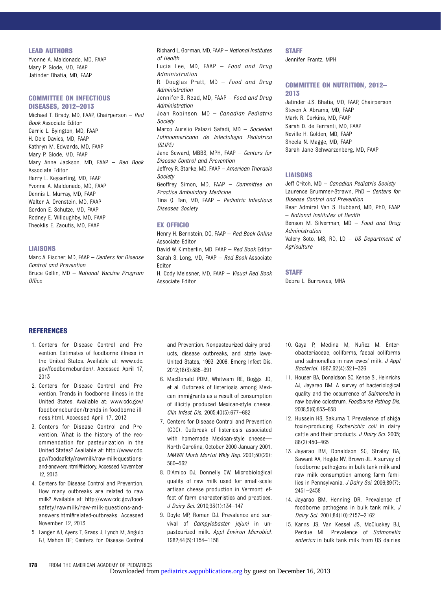#### LEAD AUTHORS

Yvonne A. Maldonado, MD, FAAP Mary P. Glode, MD, FAAP Jatinder Bhatia, MD, FAAP

#### COMMITTEE ON INFECTIOUS DISEASES, 2012–2013

Michael T. Brady, MD, FAAP, Chairperson – Red Book Associate Editor Carrie L. Byington, MD, FAAP H. Dele Davies, MD, FAAP Kathryn M. Edwards, MD, FAAP Mary P. Glode, MD, FAAP Mary Anne Jackson, MD, FAAP - Red Book Associate Editor Harry L. Keyserling, MD, FAAP Yvonne A. Maldonado, MD, FAAP Dennis L. Murray, MD, FAAP Walter A. Orenstein, MD, FAAP Gordon E. Schutze, MD, FAAP Rodney E. Willoughby, MD, FAAP Theoklis E. Zaoutis, MD, FAAP

#### LIAISONS

Marc A. Fischer, MD, FAAP - Centers for Disease Control and Prevention Bruce Gellin, MD – National Vaccine Program  $O$ *ffice* 

Richard L. Gorman, MD, FAAP – National Institutes of Health Lucia Lee, MD, FAAP - Food and Drug Administration R. Douglas Pratt, MD – Food and Drug Administration Jennifer S. Read, MD, FAAP - Food and Drug Administration Joan Robinson, MD – Canadian Pediatric Society Marco Aurelio Palazzi Safadi, MD – Sociedad Latinoamericana de Infectologia Pediatrica (SLIPE) Jane Seward, MBBS, MPH, FAAP  $-$  Centers for Disease Control and Prevention Jeffrey R. Starke, MD, FAAP – American Thoracic Society Geoffrey Simon, MD, FAAP – Committee on Practice Ambulatory Medicine Tina Q. Tan, MD, FAAP – Pediatric Infectious Diseases Society

#### EX OFFICIO

Henry H. Bernstein, DO, FAAP – Red Book Online Associate Editor David W. Kimberlin, MD, FAAP – Red Book Editor Sarah S. Long, MD, FAAP - Red Book Associate Editor H. Cody Meissner, MD, FAAP - Visual Red Book Associate Editor

#### STAFF

Jennifer Frantz, MPH

#### COMMITTEE ON NUTRITION, 2012– 2013

Jatinder J.S. Bhatia, MD, FAAP, Chairperson Steven A. Abrams, MD, FAAP Mark R. Corkins, MD, FAAP Sarah D. de Ferranti, MD, FAAP Neville H. Golden, MD, FAAP Sheela N. Magge, MD, FAAP Sarah Jane Schwarzenberg, MD, FAAP

#### LIAISONS

Jeff Critch, MD – Canadian Pediatric Society Laurence Grummer-Strawn, PhD – Centers for Disease Control and Prevention Rear Admiral Van S. Hubbard, MD, PhD, FAAP – National Institutes of Health Benson M. Silverman, MD – Food and Drug Administration Valery Soto, MS, RD, LD  $-$  US Department of **Agriculture** 

#### **STAFF**

Debra L. Burrowes, MHA

#### REFERENCES

- 1. Centers for Disease Control and Prevention. Estimates of foodborne illness in the United States. Available at: [www.cdc.](www.cdc.gov/foodborneburden/) [gov/foodborneburden/.](www.cdc.gov/foodborneburden/) Accessed April 17, 2013
- 2. Centers for Disease Control and Prevention. Trends in foodborne illness in the United States. Available at: [www.cdc.gov/](www.cdc.gov/foodborneburden/trends-in-foodborne-illness.html) [foodborneburden/trends-in-foodborne-ill](www.cdc.gov/foodborneburden/trends-in-foodborne-illness.html)[ness.html.](www.cdc.gov/foodborneburden/trends-in-foodborne-illness.html) Accessed April 17, 2013
- 3. Centers for Disease Control and Prevention. What is the history of the recommendation for pasteurization in the United States? Available at: [http://www.cdc.](http://www.cdc.gov/foodsafety/rawmilk/raw-milk-questions-and-answers.html&tnqh_x0023;history) [gov/foodsafety/rawmilk/raw-milk-questions](http://www.cdc.gov/foodsafety/rawmilk/raw-milk-questions-and-answers.html&tnqh_x0023;history)[and-answers.html#history.](http://www.cdc.gov/foodsafety/rawmilk/raw-milk-questions-and-answers.html&tnqh_x0023;history) Accessed November 12, 2013
- 4. Centers for Disease Control and Prevention. How many outbreaks are related to raw milk? Available at: [http://www.cdc.gov/food](http://www.cdc.gov/foodsafety/rawmilk/raw-milk-questions-and-answers.html&tnqh_x0023;related-outbreaks)[safety/rawmilk/raw-milk-questions-and](http://www.cdc.gov/foodsafety/rawmilk/raw-milk-questions-and-answers.html&tnqh_x0023;related-outbreaks)[answers.html#related-outbreaks.](http://www.cdc.gov/foodsafety/rawmilk/raw-milk-questions-and-answers.html&tnqh_x0023;related-outbreaks) Accessed November 12, 2013
- 5. Langer AJ, Ayers T, Grass J, Lynch M, Angulo FJ, Mahon BE; Centers for Disease Control

and Prevention. Nonpasteurized dairy products, disease outbreaks, and state laws-United States, 1993–2006. Emerg Infect Dis. 2012;18(3):385–391

- 6. MacDonald PDM, Whitwam RE, Boggs JD, et al. Outbreak of listeriosis among Mexican immigrants as a result of consumption of illicitly produced Mexican-style cheese. Clin Infect Dis. 2005;40(5):677–682
- 7. Centers for Disease Control and Prevention (CDC). Outbreak of listeriosis associated with homemade Mexican-style cheese— North Carolina, October 2000-January 2001. MMWR Morb Mortal Wkly Rep. 2001;50(26): 560–562
- 8. D'Amico DJ, Donnelly CW. Microbiological quality of raw milk used for small-scale artisan cheese production in Vermont: effect of farm characteristics and practices. J Dairy Sci. 2010;93(1):134–147
- 9. Doyle MP, Roman DJ. Prevalence and survival of *Campylobacter jejuni* in unpasteurized milk. Appl Environ Microbiol. 1982;44(5):1154–11[58](http://pediatrics.aappublications.org/)
- 10. Gaya P, Medina M, Nuñez M. Enterobacteriaceae, coliforms, faecal coliforms and salmonellas in raw ewes' milk. J Appl Bacteriol. 1987;62(4):321–326
- 11. Houser BA, Donaldson SC, Kehoe SI, Heinrichs AJ, Jayarao BM. A survey of bacteriological quality and the occurrence of Salmonella in raw bovine colostrum. Foodborne Pathog Dis. 2008;5(6):853–858
- 12. Hussein HS, Sakuma T. Prevalence of shiga toxin-producing Escherichia coli in dairy cattle and their products. J Dairy Sci. 2005; 88(2):450–465
- 13. Jayarao BM, Donaldson SC, Straley BA, Sawant AA, Hegde NV, Brown JL. A survey of foodborne pathogens in bulk tank milk and raw milk consumption among farm families in Pennsylvania. J Dairy Sci. 2006;89(7): 2451–2458
- 14. Jayarao BM, Henning DR. Prevalence of foodborne pathogens in bulk tank milk. J Dairy Sci. 2001;84(10):2157–2162
- 15. Karns JS, Van Kessel JS, McCluskey BJ, Perdue ML. Prevalence of Salmonella enterica in bulk tank milk from US dairies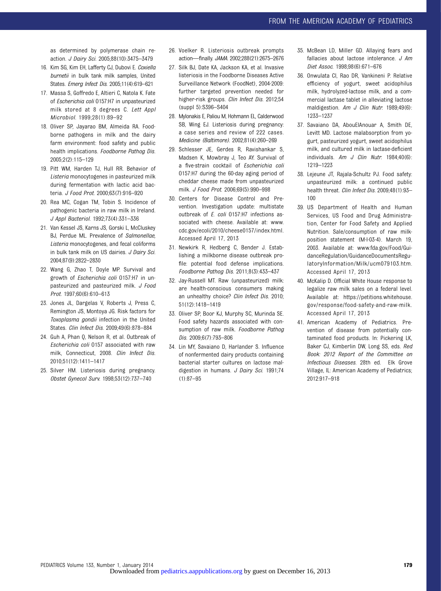as determined by polymerase chain reaction. J Dairy Sci. 2005;88(10):3475–3479

- 16. Kim SG, Kim EH, Lafferty CJ, Dubovi E. Coxiella burnetii in bulk tank milk samples, United States. Emerg Infect Dis. 2005;11(4):619–621
- 17. Massa S, Goffredo E, Altieri C, Natola K. Fate of Escherichia coli O157:H7 in unpasteurized milk stored at 8 degrees C. Lett Appl Microbiol. 1999;28(1):89–92
- 18. Oliver SP, Jayarao BM, Almeida RA. Foodborne pathogens in milk and the dairy farm environment: food safety and public health implications. Foodborne Pathog Dis. 2005;2(2):115–129
- 19. Pitt WM, Harden TJ, Hull RR. Behavior of Listeria monocytogenes in pasteurized milk during fermentation with lactic acid bacteria. J Food Prot. 2000;63(7):916–920
- 20. Rea MC, Cogan TM, Tobin S. Incidence of pathogenic bacteria in raw milk in Ireland. J Appl Bacteriol. 1992;73(4):331–336
- 21. Van Kessel JS, Karns JS, Gorski L, McCluskey BJ, Perdue ML. Prevalence of Salmonellae, Listeria monocytogenes, and fecal coliforms in bulk tank milk on US dairies. J Dairy Sci. 2004;87(9):2822–2830
- 22. Wang G, Zhao T, Doyle MP. Survival and growth of Escherichia coli O157:H7 in unpasteurized and pasteurized milk. J Food Prot. 1997;60(6):610–613
- 23. Jones JL, Dargelas V, Roberts J, Press C, Remington JS, Montoya JG. Risk factors for Toxoplasma gondii infection in the United States. Clin Infect Dis. 2009;49(6):878–884
- 24. Guh A, Phan Q, Nelson R, et al. Outbreak of Escherichia coli O157 associated with raw milk, Connecticut, 2008. Clin Infect Dis. 2010;51(12):1411–1417
- 25. Silver HM. Listeriosis during pregnancy. Obstet Gynecol Surv. 1998;53(12):737–740
- 26. Voelker R. Listeriosis outbreak prompts action—finally. JAMA. 2002;288(21):2675–2676
- 27. Silk BJ, Date KA, Jackson KA, et al. Invasive listeriosis in the Foodborne Diseases Active Surveillance Network (FoodNet), 2004-2009: further targeted prevention needed for higher-risk groups. Clin Infect Dis. 2012;54 (suppl 5):S396–S404
- 28. Mylonakis E, Paliou M, Hohmann EL, Calderwood SB, Wing EJ. Listeriosis during pregnancy: a case series and review of 222 cases. Medicine (Baltimore). 2002;81(4):260–269
- 29. Schlesser JE, Gerdes R, Ravishankar S, Madsen K, Mowbray J, Teo AY. Survival of a five-strain cocktail of Escherichia coli O157:H7 during the 60-day aging period of cheddar cheese made from unpasteurized milk. J Food Prot. 2006;69(5):990–998
- 30. Centers for Disease Control and Prevention. Investigation update: multistate outbreak of *E. coli* 0157:H7 infections associated with cheese. Available at: [www.](www.cdc.gov/ecoli/2010/cheese0157/index.html) [cdc.gov/ecoli/2010/cheese0157/index.html.](www.cdc.gov/ecoli/2010/cheese0157/index.html) Accessed April 17, 2013
- 31. Newkirk R, Hedberg C, Bender J. Establishing a milkborne disease outbreak profile: potential food defense implications. Foodborne Pathog Dis. 2011;8(3):433–437
- 32. Jay-Russell MT. Raw (unpasteurized) milk: are health-conscious consumers making an unhealthy choice? Clin Infect Dis. 2010; 51(12):1418–1419
- 33. Oliver SP, Boor KJ, Murphy SC, Murinda SE. Food safety hazards associated with consumption of raw milk. Foodborne Pathog Dis. 2009;6(7):793–806
- 34. Lin MY, Savaiano D, Harlander S. Influence of nonfermented dairy products containing bacterial starter cultures on lactose maldigestion in humans. J Dairy Sci. 1991;74 (1):87–95
- 35. McBean LD, Miller GD. Allaying fears and fallacies about lactose intolerance. J Am Diet Assoc. 1998;98(6):671–676
- 36. Onwulata CI, Rao DR, Vankineni P. Relative efficiency of yogurt, sweet acidophilus milk, hydrolyzed-lactose milk, and a commercial lactase tablet in alleviating lactose maldigestion. Am J Clin Nutr. 1989;49(6): 1233–1237
- 37. Savaiano DA, AbouElAnouar A, Smith DE, Levitt MD. Lactose malabsorption from yogurt, pasteurized yogurt, sweet acidophilus milk, and cultured milk in lactase-deficient individuals. Am J Clin Nutr. 1984;40(6): 1219–1223
- 38. Lejeune JT, Rajala-Schultz PJ. Food safety: unpasteurized milk: a continued public health threat. Clin Infect Dis. 2009;48(1):93-100
- 39. US Department of Health and Human Services, US Food and Drug Administration, Center for Food Safety and Applied Nutrition. Sale/consumption of raw milkposition statement (M-I-03-4). March 19, 2003. Available at: [www.fda.gov/Food/Gui](www.fda.gov/Food/GuidanceRegulation/GuidanceDocumentsRegulatoryInformation/Milk/ucm079103.htm)[danceRegulation/GuidanceDocumentsRegu](www.fda.gov/Food/GuidanceRegulation/GuidanceDocumentsRegulatoryInformation/Milk/ucm079103.htm)[latoryInformation/Milk/ucm079103.htm](www.fda.gov/Food/GuidanceRegulation/GuidanceDocumentsRegulatoryInformation/Milk/ucm079103.htm). Accessed April 17, 2013
- 40. McKalip D. Official White House response to legalize raw milk sales on a federal level. Available at: [https://petitions.whitehouse.](https://petitions.whitehouse.gov/response/food-safety-and-raw-milk) [gov/response/food-safety-and-raw-milk.](https://petitions.whitehouse.gov/response/food-safety-and-raw-milk) Accessed April 17, 2013
- 41. American Academy of Pediatrics. Prevention of disease from potentially contaminated food products. In: Pickering LK, Baker CJ, Kimberlin DW, Long SS, eds. Red Book: 2012 Report of the Committee on Infectious Diseases. 28th ed. Elk Grove Village, IL: American Academy of Pediatrics; 2012:917–918